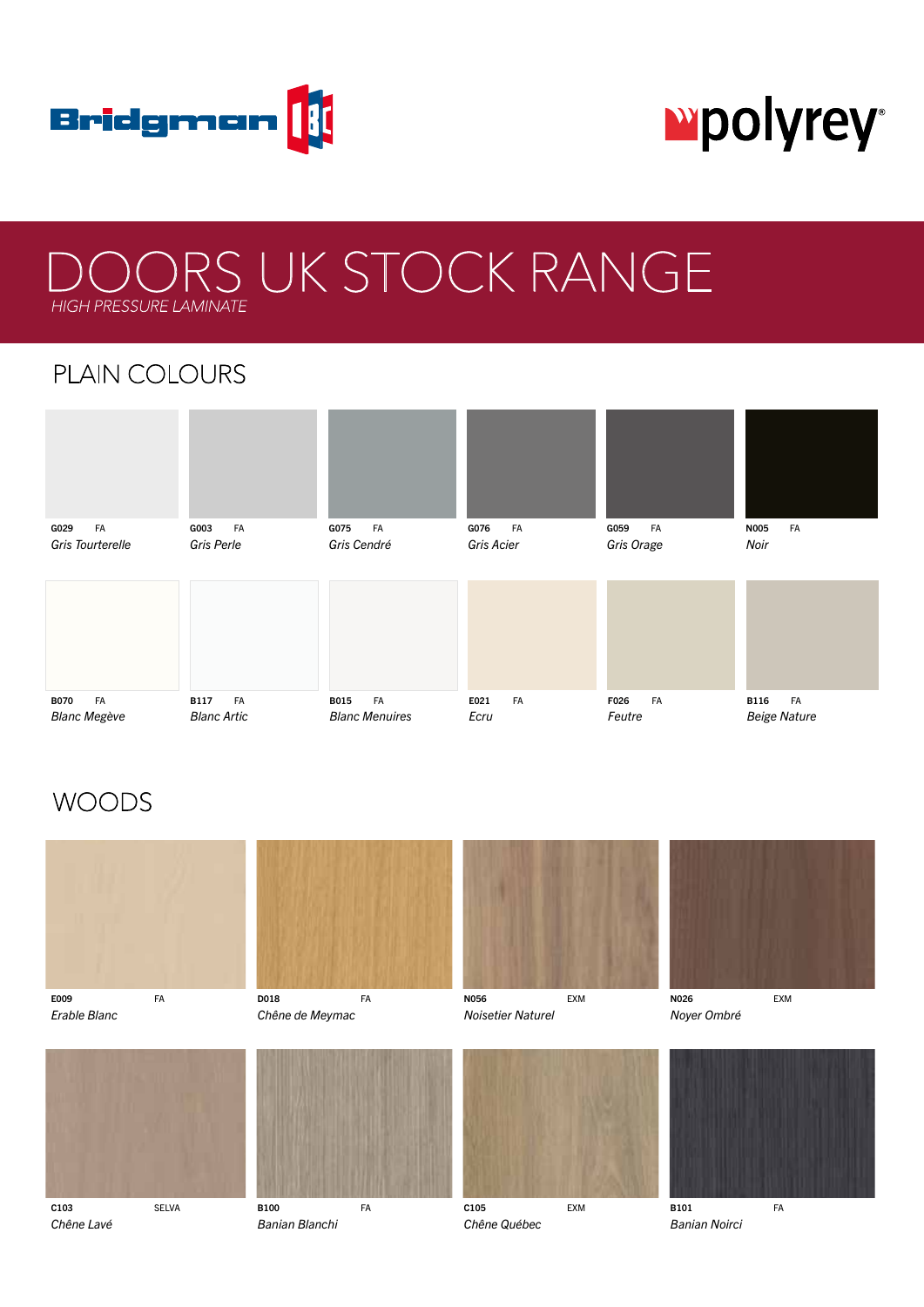

# **Mpolyrey**

## OORS UK STOCK RANGE HIGH PRESSURE LAMINATE

## PLAIN COLOURS



### **WOODS**











*Erable Blanc Chêne de Meymac Noisetier Naturel Noyer Ombré*



*Chêne Lavé Banian Blanchi Chêne Québec Banian Noirci*